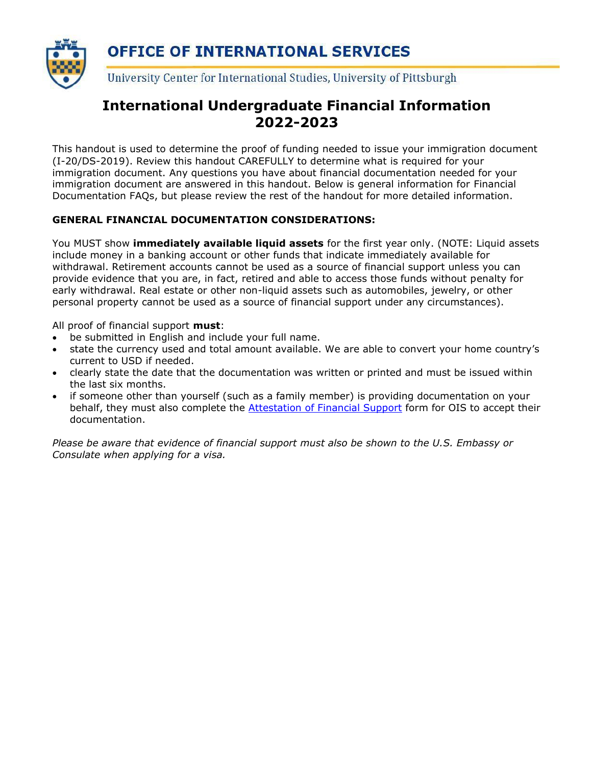

## **International Undergraduate Financial Information 2022-2023**

This handout is used to determine the proof of funding needed to issue your immigration document (I-20/DS-2019). Review this handout CAREFULLY to determine what is required for your immigration document. Any questions you have about financial documentation needed for your immigration document are answered in this handout. Below is general information for Financial Documentation FAQs, but please review the rest of the handout for more detailed information.

## **GENERAL FINANCIAL DOCUMENTATION CONSIDERATIONS:**

You MUST show **immediately available liquid assets** for the first year only. (NOTE: Liquid assets include money in a banking account or other funds that indicate immediately available for withdrawal. Retirement accounts cannot be used as a source of financial support unless you can provide evidence that you are, in fact, retired and able to access those funds without penalty for early withdrawal. Real estate or other non-liquid assets such as automobiles, jewelry, or other personal property cannot be used as a source of financial support under any circumstances).

All proof of financial support **must**:

- be submitted in English and include your full name.
- state the currency used and total amount available. We are able to convert your home country's current to USD if needed.
- clearly state the date that the documentation was written or printed and must be issued within the last six months.
- if someone other than yourself (such as a family member) is providing documentation on your behalf, they must also complete the [Attestation of Financial Support](https://www.ois.pitt.edu/sites/default/files/historical_docs/Attestation-of-Financial-Support.pdf) form for OIS to accept their documentation.

*Please be aware that evidence of financial support must also be shown to the U.S. Embassy or Consulate when applying for a visa.*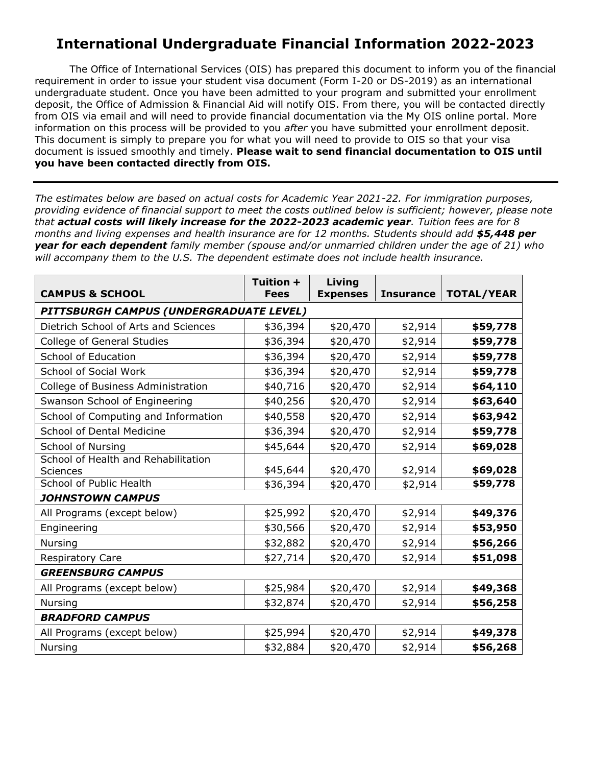## **International Undergraduate Financial Information 2022-2023**

The Office of International Services (OIS) has prepared this document to inform you of the financial requirement in order to issue your student visa document (Form I-20 or DS-2019) as an international undergraduate student. Once you have been admitted to your program and submitted your enrollment deposit, the Office of Admission & Financial Aid will notify OIS. From there, you will be contacted directly from OIS via email and will need to provide financial documentation via the My OIS online portal. More information on this process will be provided to you *after* you have submitted your enrollment deposit. This document is simply to prepare you for what you will need to provide to OIS so that your visa document is issued smoothly and timely. **Please wait to send financial documentation to OIS until you have been contacted directly from OIS.**

*The estimates below are based on actual costs for Academic Year 2021-22. For immigration purposes, providing evidence of financial support to meet the costs outlined below is sufficient; however, please note that actual costs will likely increase for the 2022-2023 academic year. Tuition fees are for 8* months and living expenses and health insurance are for 12 months. Students should add \$5,448 per *year for each dependent family member (spouse and/or unmarried children under the age of 21) who will accompany them to the U.S. The dependent estimate does not include health insurance.*

|                                         | Tuition +   | Living          |         |                        |
|-----------------------------------------|-------------|-----------------|---------|------------------------|
| <b>CAMPUS &amp; SCHOOL</b>              | <b>Fees</b> | <b>Expenses</b> |         | Insurance   TOTAL/YEAR |
| PITTSBURGH CAMPUS (UNDERGRADUATE LEVEL) |             |                 |         |                        |
| Dietrich School of Arts and Sciences    | \$36,394    | \$20,470        | \$2,914 | \$59,778               |
| <b>College of General Studies</b>       | \$36,394    | \$20,470        | \$2,914 | \$59,778               |
| School of Education                     | \$36,394    | \$20,470        | \$2,914 | \$59,778               |
| School of Social Work                   | \$36,394    | \$20,470        | \$2,914 | \$59,778               |
| College of Business Administration      | \$40,716    | \$20,470        | \$2,914 | \$64,110               |
| Swanson School of Engineering           | \$40,256    | \$20,470        | \$2,914 | \$63,640               |
| School of Computing and Information     | \$40,558    | \$20,470        | \$2,914 | \$63,942               |
| <b>School of Dental Medicine</b>        | \$36,394    | \$20,470        | \$2,914 | \$59,778               |
| School of Nursing                       | \$45,644    | \$20,470        | \$2,914 | \$69,028               |
| School of Health and Rehabilitation     |             |                 |         |                        |
| <b>Sciences</b>                         | \$45,644    | \$20,470        | \$2,914 | \$69,028               |
| School of Public Health                 | \$36,394    | \$20,470        | \$2,914 | \$59,778               |
| <b>JOHNSTOWN CAMPUS</b>                 |             |                 |         |                        |
| All Programs (except below)             | \$25,992    | \$20,470        | \$2,914 | \$49,376               |
| Engineering                             | \$30,566    | \$20,470        | \$2,914 | \$53,950               |
| Nursing                                 | \$32,882    | \$20,470        | \$2,914 | \$56,266               |
| <b>Respiratory Care</b>                 | \$27,714    | \$20,470        | \$2,914 | \$51,098               |
| <b>GREENSBURG CAMPUS</b>                |             |                 |         |                        |
| All Programs (except below)             | \$25,984    | \$20,470        | \$2,914 | \$49,368               |
| Nursing                                 | \$32,874    | \$20,470        | \$2,914 | \$56,258               |
| <b>BRADFORD CAMPUS</b>                  |             |                 |         |                        |
| All Programs (except below)             | \$25,994    | \$20,470        | \$2,914 | \$49,378               |
| Nursing                                 | \$32,884    | \$20,470        | \$2,914 | \$56,268               |